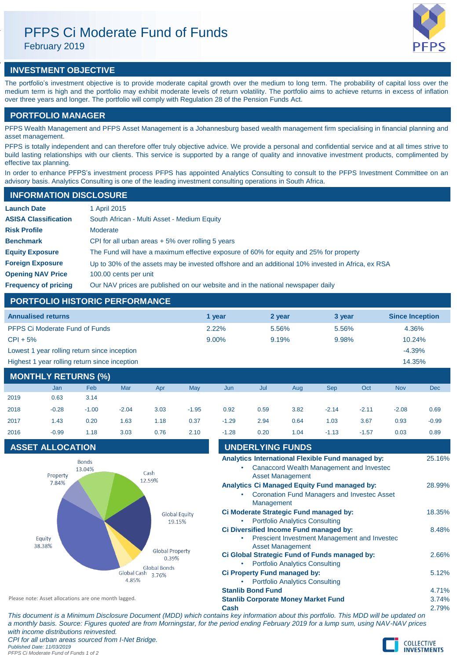# PFPS Ci Moderate Fund of Funds

February 2019

# **INVESTMENT OBJECTIVE**

The portfolio's investment objective is to provide moderate capital growth over the medium to long term. The probability of capital loss over the medium term is high and the portfolio may exhibit moderate levels of return volatility. The portfolio aims to achieve returns in excess of inflation over three years and longer. The portfolio will comply with Regulation 28 of the Pension Funds Act.

# **PORTFOLIO MANAGER**

PFPS Wealth Management and PFPS Asset Management is a Johannesburg based wealth management firm specialising in financial planning and asset management.

PFPS is totally independent and can therefore offer truly objective advice. We provide a personal and confidential service and at all times strive to build lasting relationships with our clients. This service is supported by a range of quality and innovative investment products, complimented by effective tax planning.

In order to enhance PFPS's investment process PFPS has appointed Analytics Consulting to consult to the PFPS Investment Committee on an advisory basis. Analytics Consulting is one of the leading investment consulting operations in South Africa.

# **Launch Date** 1 April 2015 **ASISA Classification** South African - Multi Asset - Medium Equity **Risk Profile** Moderate **Benchmark** CPI for all urban areas + 5% over rolling 5 years **Equity Exposure** The Fund will have a maximum effective exposure of 60% for equity and 25% for property **Foreign Exposure** Up to 30% of the assets may be invested offshore and an additional 10% invested in Africa, ex RSA **Opening NAV Price** 100.00 cents per unit **Frequency of pricing** Our NAV prices are published on our website and in the national newspaper daily **INFORMATION DISCLOSURE**

# **PORTFOLIO HISTORIC PERFORMANCE**

| <b>Annualised returns</b>                     | 1 vear   | 2 year | 3 year | <b>Since Inception</b> |
|-----------------------------------------------|----------|--------|--------|------------------------|
| <b>PFPS Ci Moderate Fund of Funds</b>         | 2.22%    | 5.56%  | 5.56%  | 4.36%                  |
| $CPI + 5%$                                    | $9.00\%$ | 9.19%  | 9.98%  | 10.24%                 |
| Lowest 1 year rolling return since inception  |          |        |        | $-4.39%$               |
| Highest 1 year rolling return since inception |          |        |        | 14.35%                 |

# **MONTHLY RETURNS (%)**

|      | Jan     | Feb     | Mar     | Apr  | May     | Jun     | Jul  | Aug  | <b>Sep</b> | Oct     | <b>Nov</b> | <b>Dec</b> |
|------|---------|---------|---------|------|---------|---------|------|------|------------|---------|------------|------------|
| 2019 | 0.63    | 3.14    |         |      |         |         |      |      |            |         |            |            |
| 2018 | $-0.28$ | $-1.00$ | $-2.04$ | 3.03 | $-1.95$ | 0.92    | 0.59 | 3.82 | $-2.14$    | $-2.11$ | $-2.08$    | 0.69       |
| 2017 | 1.43    | 0.20    | 1.63    | 1.18 | 0.37    | $-1.29$ | 2.94 | 0.64 | 1.03       | 3.67    | 0.93       | $-0.99$    |
| 2016 | $-0.99$ | 1.18    | 3.03    | 0.76 | 2.10    | $-1.28$ | 0.20 | 1.04 | $-1.13$    | $-1.57$ | 0.03       | 0.89       |

# **ASSET ALLOCATION**



| 2017                                                 | 1.43                    | 0.20                   | 1.63                                                 | 1.18                                                                            | 0.37                                                                                        | $-1.29$                                                                                                                | 2.94                     | 0.64                    | 1.03                                                                                                      | 3.67    | 0.93  | -0.99  |
|------------------------------------------------------|-------------------------|------------------------|------------------------------------------------------|---------------------------------------------------------------------------------|---------------------------------------------------------------------------------------------|------------------------------------------------------------------------------------------------------------------------|--------------------------|-------------------------|-----------------------------------------------------------------------------------------------------------|---------|-------|--------|
| 2016                                                 | $-0.99$                 | 1.18                   | 3.03                                                 | 0.76                                                                            | 2.10                                                                                        | $-1.28$                                                                                                                | 0.20                     | 1.04                    | $-1.13$                                                                                                   | $-1.57$ | 0.03  | 0.89   |
|                                                      | <b>ASSET ALLOCATION</b> |                        |                                                      |                                                                                 |                                                                                             |                                                                                                                        | <b>UNDERLYING FUNDS</b>  |                         |                                                                                                           |         |       |        |
|                                                      | Property                | <b>Bonds</b><br>13.04% |                                                      | Cash                                                                            |                                                                                             |                                                                                                                        |                          | <b>Asset Management</b> | Analytics International Flexible Fund managed by:<br>Canaccord Wealth Management and Invested             |         |       | 25.16% |
|                                                      | 7.84%                   |                        |                                                      | 12.59%                                                                          |                                                                                             |                                                                                                                        | Management               |                         | <b>Analytics Ci Managed Equity Fund managed by:</b><br><b>Coronation Fund Managers and Invested Asset</b> |         |       | 28.99% |
| <b>Global Equity</b><br>19.15%                       |                         |                        |                                                      | Ci Moderate Strategic Fund managed by:<br><b>Portfolio Analytics Consulting</b> |                                                                                             |                                                                                                                        |                          |                         |                                                                                                           | 18.35%  |       |        |
| Equity<br>38.38%                                     |                         |                        |                                                      |                                                                                 |                                                                                             | Ci Diversified Income Fund managed by:<br>Prescient Investment Management and Investec<br>۰<br><b>Asset Management</b> |                          |                         |                                                                                                           |         |       | 8.48%  |
|                                                      |                         |                        | <b>Global Property</b><br>0.39%                      |                                                                                 | Ci Global Strategic Fund of Funds managed by:<br><b>Portfolio Analytics Consulting</b><br>٠ |                                                                                                                        |                          |                         |                                                                                                           |         | 2.66% |        |
|                                                      |                         |                        | <b>Global Bonds</b><br>Global Cash<br>3.76%<br>4.85% | <b>Ci Property Fund managed by:</b><br><b>Portfolio Analytics Consulting</b>    |                                                                                             |                                                                                                                        |                          |                         |                                                                                                           | 5.12%   |       |        |
|                                                      |                         |                        |                                                      |                                                                                 |                                                                                             |                                                                                                                        | <b>Stanlib Bond Fund</b> |                         |                                                                                                           |         |       | 4.71%  |
| Please note: Asset allocations are one month lagged. |                         |                        |                                                      | <b>Stanlib Corporate Money Market Fund</b>                                      |                                                                                             |                                                                                                                        |                          |                         |                                                                                                           | 3.74%   |       |        |
|                                                      |                         |                        |                                                      |                                                                                 |                                                                                             | Cash                                                                                                                   |                          |                         |                                                                                                           |         |       | 2.79%  |

*This document is a Minimum Disclosure Document (MDD) which contains key information about this portfolio. This MDD will be updated on a monthly basis. Source: Figures quoted are from Morningstar, for the period ending February 2019 for a lump sum, using NAV-NAV prices with income distributions reinvested. CPI for all urban areas sourced from I-Net Bridge. Published Date: 11/03/2019 PFPS Ci Moderate Fund of Funds 1 of 2*